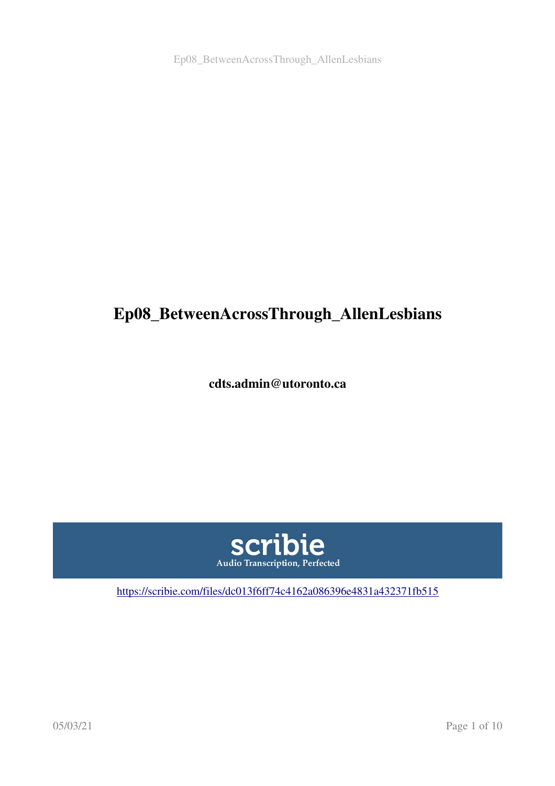# Ep08\_BetweenAcrossThrough\_AllenLesbians

cdts.admin@utoronto.ca



<https://scribie.com/files/dc013f6ff74c4162a086396e4831a432371fb515>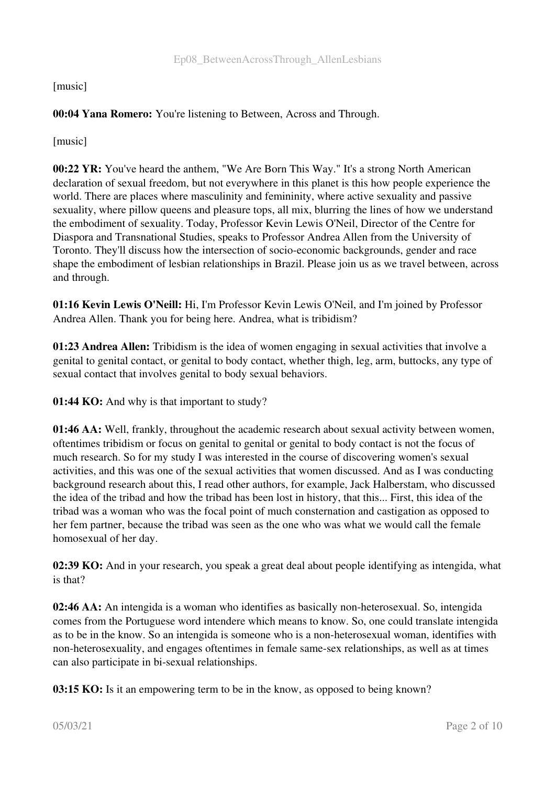[music]

# 00:04 Yana Romero: You're listening to Between, Across and Through.

[music]

00:22 YR: You've heard the anthem, "We Are Born This Way." It's a strong North American declaration of sexual freedom, but not everywhere in this planet is this how people experience the world. There are places where masculinity and femininity, where active sexuality and passive sexuality, where pillow queens and pleasure tops, all mix, blurring the lines of how we understand the embodiment of sexuality. Today, Professor Kevin Lewis O'Neil, Director of the Centre for Diaspora and Transnational Studies, speaks to Professor Andrea Allen from the University of Toronto. They'll discuss how the intersection of socio-economic backgrounds, gender and race shape the embodiment of lesbian relationships in Brazil. Please join us as we travel between, across and through.

01:16 Kevin Lewis O'Neill: Hi, I'm Professor Kevin Lewis O'Neil, and I'm joined by Professor Andrea Allen. Thank you for being here. Andrea, what is tribidism?

01:23 Andrea Allen: Tribidism is the idea of women engaging in sexual activities that involve a genital to genital contact, or genital to body contact, whether thigh, leg, arm, buttocks, any type of sexual contact that involves genital to body sexual behaviors.

01:44 KO: And why is that important to study?

01:46 AA: Well, frankly, throughout the academic research about sexual activity between women, oftentimes tribidism or focus on genital to genital or genital to body contact is not the focus of much research. So for my study I was interested in the course of discovering women's sexual activities, and this was one of the sexual activities that women discussed. And as I was conducting background research about this, I read other authors, for example, Jack Halberstam, who discussed the idea of the tribad and how the tribad has been lost in history, that this... First, this idea of the tribad was a woman who was the focal point of much consternation and castigation as opposed to her fem partner, because the tribad was seen as the one who was what we would call the female homosexual of her day.

02:39 KO: And in your research, you speak a great deal about people identifying as intengida, what is that?

02:46 AA: An intengida is a woman who identifies as basically non-heterosexual. So, intengida comes from the Portuguese word intendere which means to know. So, one could translate intengida as to be in the know. So an intengida is someone who is a non-heterosexual woman, identifies with non-heterosexuality, and engages oftentimes in female same-sex relationships, as well as at times can also participate in bi-sexual relationships.

**03:15 KO:** Is it an empowering term to be in the know, as opposed to being known?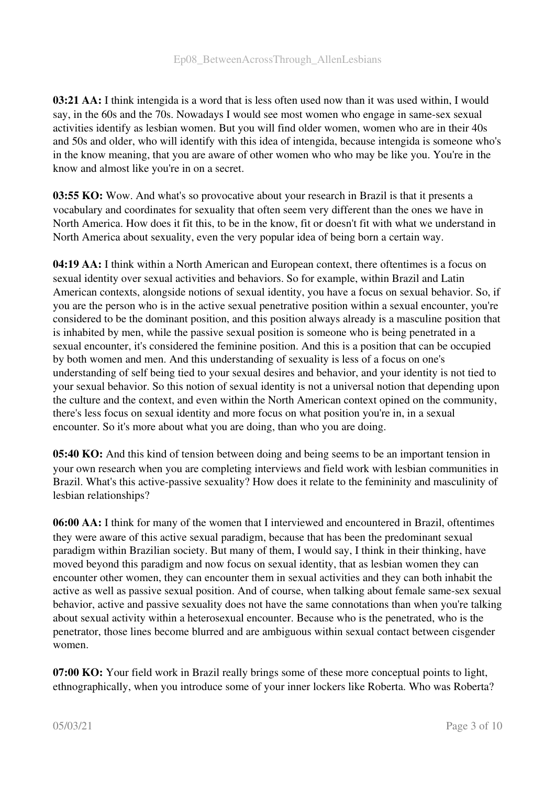03:21 AA: I think intengida is a word that is less often used now than it was used within, I would say, in the 60s and the 70s. Nowadays I would see most women who engage in same-sex sexual activities identify as lesbian women. But you will find older women, women who are in their 40s and 50s and older, who will identify with this idea of intengida, because intengida is someone who's in the know meaning, that you are aware of other women who who may be like you. You're in the know and almost like you're in on a secret.

03:55 KO: Wow. And what's so provocative about your research in Brazil is that it presents a vocabulary and coordinates for sexuality that often seem very different than the ones we have in North America. How does it fit this, to be in the know, fit or doesn't fit with what we understand in North America about sexuality, even the very popular idea of being born a certain way.

04:19 AA: I think within a North American and European context, there oftentimes is a focus on sexual identity over sexual activities and behaviors. So for example, within Brazil and Latin American contexts, alongside notions of sexual identity, you have a focus on sexual behavior. So, if you are the person who is in the active sexual penetrative position within a sexual encounter, you're considered to be the dominant position, and this position always already is a masculine position that is inhabited by men, while the passive sexual position is someone who is being penetrated in a sexual encounter, it's considered the feminine position. And this is a position that can be occupied by both women and men. And this understanding of sexuality is less of a focus on one's understanding of self being tied to your sexual desires and behavior, and your identity is not tied to your sexual behavior. So this notion of sexual identity is not a universal notion that depending upon the culture and the context, and even within the North American context opined on the community, there's less focus on sexual identity and more focus on what position you're in, in a sexual encounter. So it's more about what you are doing, than who you are doing.

05:40 KO: And this kind of tension between doing and being seems to be an important tension in your own research when you are completing interviews and field work with lesbian communities in Brazil. What's this active-passive sexuality? How does it relate to the femininity and masculinity of lesbian relationships?

06:00 AA: I think for many of the women that I interviewed and encountered in Brazil, oftentimes they were aware of this active sexual paradigm, because that has been the predominant sexual paradigm within Brazilian society. But many of them, I would say, I think in their thinking, have moved beyond this paradigm and now focus on sexual identity, that as lesbian women they can encounter other women, they can encounter them in sexual activities and they can both inhabit the active as well as passive sexual position. And of course, when talking about female same-sex sexual behavior, active and passive sexuality does not have the same connotations than when you're talking about sexual activity within a heterosexual encounter. Because who is the penetrated, who is the penetrator, those lines become blurred and are ambiguous within sexual contact between cisgender women.

07:00 KO: Your field work in Brazil really brings some of these more conceptual points to light, ethnographically, when you introduce some of your inner lockers like Roberta. Who was Roberta?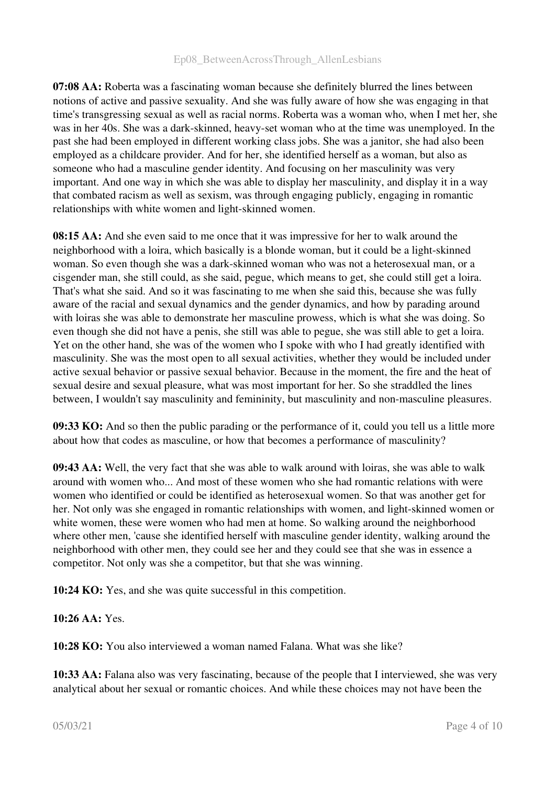07:08 AA: Roberta was a fascinating woman because she definitely blurred the lines between notions of active and passive sexuality. And she was fully aware of how she was engaging in that time's transgressing sexual as well as racial norms. Roberta was a woman who, when I met her, she was in her 40s. She was a dark-skinned, heavy-set woman who at the time was unemployed. In the past she had been employed in different working class jobs. She was a janitor, she had also been employed as a childcare provider. And for her, she identified herself as a woman, but also as someone who had a masculine gender identity. And focusing on her masculinity was very important. And one way in which she was able to display her masculinity, and display it in a way that combated racism as well as sexism, was through engaging publicly, engaging in romantic relationships with white women and light-skinned women.

08:15 AA: And she even said to me once that it was impressive for her to walk around the neighborhood with a loira, which basically is a blonde woman, but it could be a light-skinned woman. So even though she was a dark-skinned woman who was not a heterosexual man, or a cisgender man, she still could, as she said, pegue, which means to get, she could still get a loira. That's what she said. And so it was fascinating to me when she said this, because she was fully aware of the racial and sexual dynamics and the gender dynamics, and how by parading around with loiras she was able to demonstrate her masculine prowess, which is what she was doing. So even though she did not have a penis, she still was able to pegue, she was still able to get a loira. Yet on the other hand, she was of the women who I spoke with who I had greatly identified with masculinity. She was the most open to all sexual activities, whether they would be included under active sexual behavior or passive sexual behavior. Because in the moment, the fire and the heat of sexual desire and sexual pleasure, what was most important for her. So she straddled the lines between, I wouldn't say masculinity and femininity, but masculinity and non-masculine pleasures.

09:33 KO: And so then the public parading or the performance of it, could you tell us a little more about how that codes as masculine, or how that becomes a performance of masculinity?

09:43 AA: Well, the very fact that she was able to walk around with loiras, she was able to walk around with women who... And most of these women who she had romantic relations with were women who identified or could be identified as heterosexual women. So that was another get for her. Not only was she engaged in romantic relationships with women, and light-skinned women or white women, these were women who had men at home. So walking around the neighborhood where other men, 'cause she identified herself with masculine gender identity, walking around the neighborhood with other men, they could see her and they could see that she was in essence a competitor. Not only was she a competitor, but that she was winning.

10:24 KO: Yes, and she was quite successful in this competition.

#### 10:26 AA: Yes.

10:28 KO: You also interviewed a woman named Falana. What was she like?

10:33 AA: Falana also was very fascinating, because of the people that I interviewed, she was very analytical about her sexual or romantic choices. And while these choices may not have been the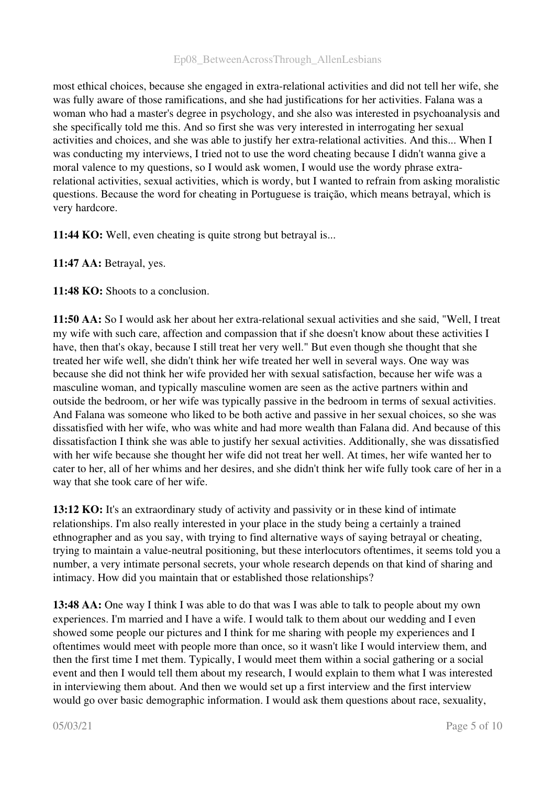most ethical choices, because she engaged in extra-relational activities and did not tell her wife, she was fully aware of those ramifications, and she had justifications for her activities. Falana was a woman who had a master's degree in psychology, and she also was interested in psychoanalysis and she specifically told me this. And so first she was very interested in interrogating her sexual activities and choices, and she was able to justify her extra-relational activities. And this... When I was conducting my interviews, I tried not to use the word cheating because I didn't wanna give a moral valence to my questions, so I would ask women, I would use the wordy phrase extrarelational activities, sexual activities, which is wordy, but I wanted to refrain from asking moralistic questions. Because the word for cheating in Portuguese is traição, which means betrayal, which is very hardcore.

11:44 KO: Well, even cheating is quite strong but betrayal is...

11:47 AA: Betrayal, yes.

11:48 KO: Shoots to a conclusion.

11:50 AA: So I would ask her about her extra-relational sexual activities and she said, "Well, I treat my wife with such care, affection and compassion that if she doesn't know about these activities I have, then that's okay, because I still treat her very well." But even though she thought that she treated her wife well, she didn't think her wife treated her well in several ways. One way was because she did not think her wife provided her with sexual satisfaction, because her wife was a masculine woman, and typically masculine women are seen as the active partners within and outside the bedroom, or her wife was typically passive in the bedroom in terms of sexual activities. And Falana was someone who liked to be both active and passive in her sexual choices, so she was dissatisfied with her wife, who was white and had more wealth than Falana did. And because of this dissatisfaction I think she was able to justify her sexual activities. Additionally, she was dissatisfied with her wife because she thought her wife did not treat her well. At times, her wife wanted her to cater to her, all of her whims and her desires, and she didn't think her wife fully took care of her in a way that she took care of her wife.

13:12 KO: It's an extraordinary study of activity and passivity or in these kind of intimate relationships. I'm also really interested in your place in the study being a certainly a trained ethnographer and as you say, with trying to find alternative ways of saying betrayal or cheating, trying to maintain a value-neutral positioning, but these interlocutors oftentimes, it seems told you a number, a very intimate personal secrets, your whole research depends on that kind of sharing and intimacy. How did you maintain that or established those relationships?

13:48 AA: One way I think I was able to do that was I was able to talk to people about my own experiences. I'm married and I have a wife. I would talk to them about our wedding and I even showed some people our pictures and I think for me sharing with people my experiences and I oftentimes would meet with people more than once, so it wasn't like I would interview them, and then the first time I met them. Typically, I would meet them within a social gathering or a social event and then I would tell them about my research, I would explain to them what I was interested in interviewing them about. And then we would set up a first interview and the first interview would go over basic demographic information. I would ask them questions about race, sexuality,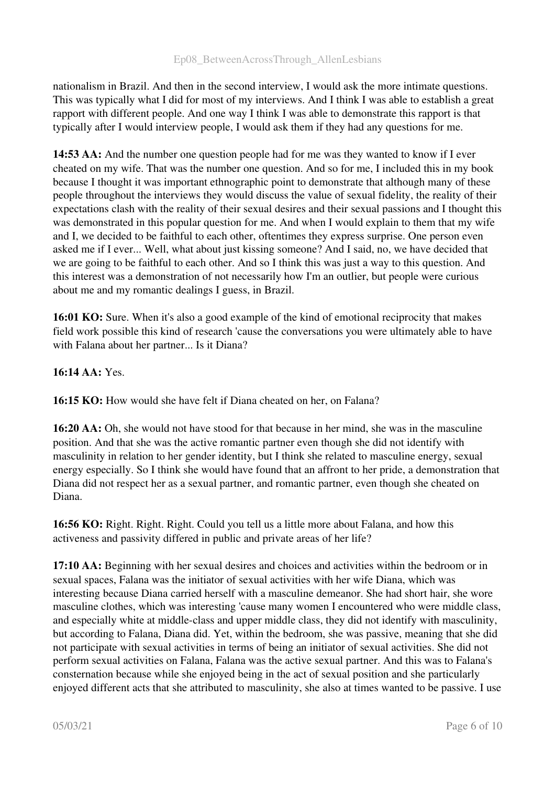nationalism in Brazil. And then in the second interview, I would ask the more intimate questions. This was typically what I did for most of my interviews. And I think I was able to establish a great rapport with different people. And one way I think I was able to demonstrate this rapport is that typically after I would interview people, I would ask them if they had any questions for me.

14:53 AA: And the number one question people had for me was they wanted to know if I ever cheated on my wife. That was the number one question. And so for me, I included this in my book because I thought it was important ethnographic point to demonstrate that although many of these people throughout the interviews they would discuss the value of sexual fidelity, the reality of their expectations clash with the reality of their sexual desires and their sexual passions and I thought this was demonstrated in this popular question for me. And when I would explain to them that my wife and I, we decided to be faithful to each other, oftentimes they express surprise. One person even asked me if I ever... Well, what about just kissing someone? And I said, no, we have decided that we are going to be faithful to each other. And so I think this was just a way to this question. And this interest was a demonstration of not necessarily how I'm an outlier, but people were curious about me and my romantic dealings I guess, in Brazil.

16:01 KO: Sure. When it's also a good example of the kind of emotional reciprocity that makes field work possible this kind of research 'cause the conversations you were ultimately able to have with Falana about her partner... Is it Diana?

## 16:14 AA: Yes.

16:15 KO: How would she have felt if Diana cheated on her, on Falana?

16:20 AA: Oh, she would not have stood for that because in her mind, she was in the masculine position. And that she was the active romantic partner even though she did not identify with masculinity in relation to her gender identity, but I think she related to masculine energy, sexual energy especially. So I think she would have found that an affront to her pride, a demonstration that Diana did not respect her as a sexual partner, and romantic partner, even though she cheated on Diana.

16:56 KO: Right. Right. Right. Could you tell us a little more about Falana, and how this activeness and passivity differed in public and private areas of her life?

17:10 AA: Beginning with her sexual desires and choices and activities within the bedroom or in sexual spaces, Falana was the initiator of sexual activities with her wife Diana, which was interesting because Diana carried herself with a masculine demeanor. She had short hair, she wore masculine clothes, which was interesting 'cause many women I encountered who were middle class, and especially white at middle-class and upper middle class, they did not identify with masculinity, but according to Falana, Diana did. Yet, within the bedroom, she was passive, meaning that she did not participate with sexual activities in terms of being an initiator of sexual activities. She did not perform sexual activities on Falana, Falana was the active sexual partner. And this was to Falana's consternation because while she enjoyed being in the act of sexual position and she particularly enjoyed different acts that she attributed to masculinity, she also at times wanted to be passive. I use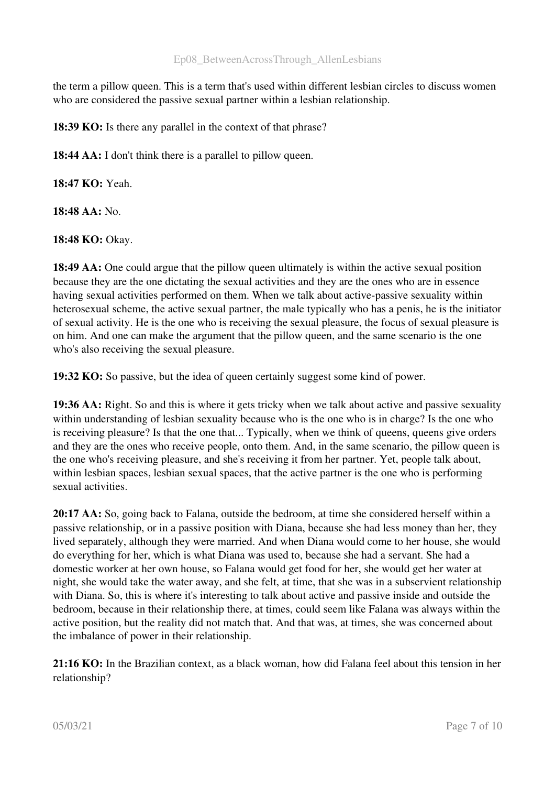the term a pillow queen. This is a term that's used within different lesbian circles to discuss women who are considered the passive sexual partner within a lesbian relationship.

18:39 KO: Is there any parallel in the context of that phrase?

18:44 AA: I don't think there is a parallel to pillow queen.

18:47 KO: Yeah.

18:48 AA: No.

18:48 KO: Okay.

18:49 AA: One could argue that the pillow queen ultimately is within the active sexual position because they are the one dictating the sexual activities and they are the ones who are in essence having sexual activities performed on them. When we talk about active-passive sexuality within heterosexual scheme, the active sexual partner, the male typically who has a penis, he is the initiator of sexual activity. He is the one who is receiving the sexual pleasure, the focus of sexual pleasure is on him. And one can make the argument that the pillow queen, and the same scenario is the one who's also receiving the sexual pleasure.

19:32 KO: So passive, but the idea of queen certainly suggest some kind of power.

19:36 AA: Right. So and this is where it gets tricky when we talk about active and passive sexuality within understanding of lesbian sexuality because who is the one who is in charge? Is the one who is receiving pleasure? Is that the one that... Typically, when we think of queens, queens give orders and they are the ones who receive people, onto them. And, in the same scenario, the pillow queen is the one who's receiving pleasure, and she's receiving it from her partner. Yet, people talk about, within lesbian spaces, lesbian sexual spaces, that the active partner is the one who is performing sexual activities.

20:17 AA: So, going back to Falana, outside the bedroom, at time she considered herself within a passive relationship, or in a passive position with Diana, because she had less money than her, they lived separately, although they were married. And when Diana would come to her house, she would do everything for her, which is what Diana was used to, because she had a servant. She had a domestic worker at her own house, so Falana would get food for her, she would get her water at night, she would take the water away, and she felt, at time, that she was in a subservient relationship with Diana. So, this is where it's interesting to talk about active and passive inside and outside the bedroom, because in their relationship there, at times, could seem like Falana was always within the active position, but the reality did not match that. And that was, at times, she was concerned about the imbalance of power in their relationship.

21:16 KO: In the Brazilian context, as a black woman, how did Falana feel about this tension in her relationship?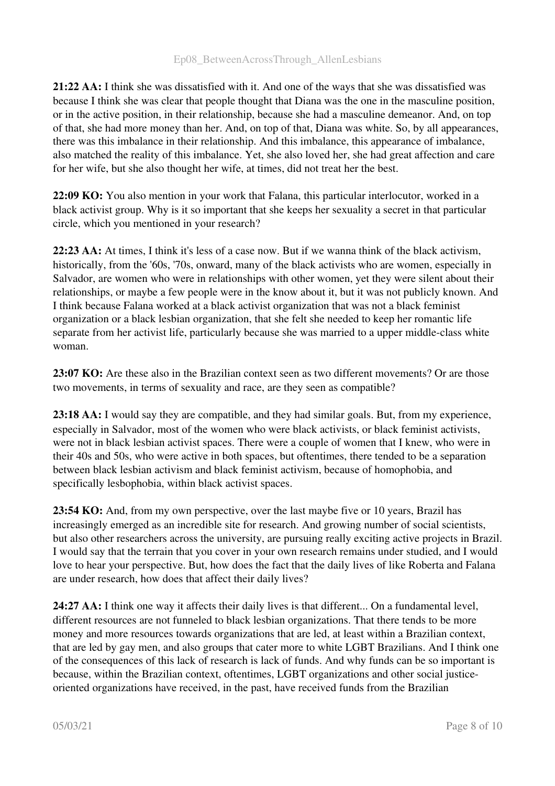21:22 AA: I think she was dissatisfied with it. And one of the ways that she was dissatisfied was because I think she was clear that people thought that Diana was the one in the masculine position, or in the active position, in their relationship, because she had a masculine demeanor. And, on top of that, she had more money than her. And, on top of that, Diana was white. So, by all appearances, there was this imbalance in their relationship. And this imbalance, this appearance of imbalance, also matched the reality of this imbalance. Yet, she also loved her, she had great affection and care for her wife, but she also thought her wife, at times, did not treat her the best.

22:09 KO: You also mention in your work that Falana, this particular interlocutor, worked in a black activist group. Why is it so important that she keeps her sexuality a secret in that particular circle, which you mentioned in your research?

22:23 AA: At times, I think it's less of a case now. But if we wanna think of the black activism, historically, from the '60s, '70s, onward, many of the black activists who are women, especially in Salvador, are women who were in relationships with other women, yet they were silent about their relationships, or maybe a few people were in the know about it, but it was not publicly known. And I think because Falana worked at a black activist organization that was not a black feminist organization or a black lesbian organization, that she felt she needed to keep her romantic life separate from her activist life, particularly because she was married to a upper middle-class white woman.

23:07 KO: Are these also in the Brazilian context seen as two different movements? Or are those two movements, in terms of sexuality and race, are they seen as compatible?

23:18 AA: I would say they are compatible, and they had similar goals. But, from my experience, especially in Salvador, most of the women who were black activists, or black feminist activists, were not in black lesbian activist spaces. There were a couple of women that I knew, who were in their 40s and 50s, who were active in both spaces, but oftentimes, there tended to be a separation between black lesbian activism and black feminist activism, because of homophobia, and specifically lesbophobia, within black activist spaces.

23:54 KO: And, from my own perspective, over the last maybe five or 10 years, Brazil has increasingly emerged as an incredible site for research. And growing number of social scientists, but also other researchers across the university, are pursuing really exciting active projects in Brazil. I would say that the terrain that you cover in your own research remains under studied, and I would love to hear your perspective. But, how does the fact that the daily lives of like Roberta and Falana are under research, how does that affect their daily lives?

24:27 AA: I think one way it affects their daily lives is that different... On a fundamental level, different resources are not funneled to black lesbian organizations. That there tends to be more money and more resources towards organizations that are led, at least within a Brazilian context, that are led by gay men, and also groups that cater more to white LGBT Brazilians. And I think one of the consequences of this lack of research is lack of funds. And why funds can be so important is because, within the Brazilian context, oftentimes, LGBT organizations and other social justiceoriented organizations have received, in the past, have received funds from the Brazilian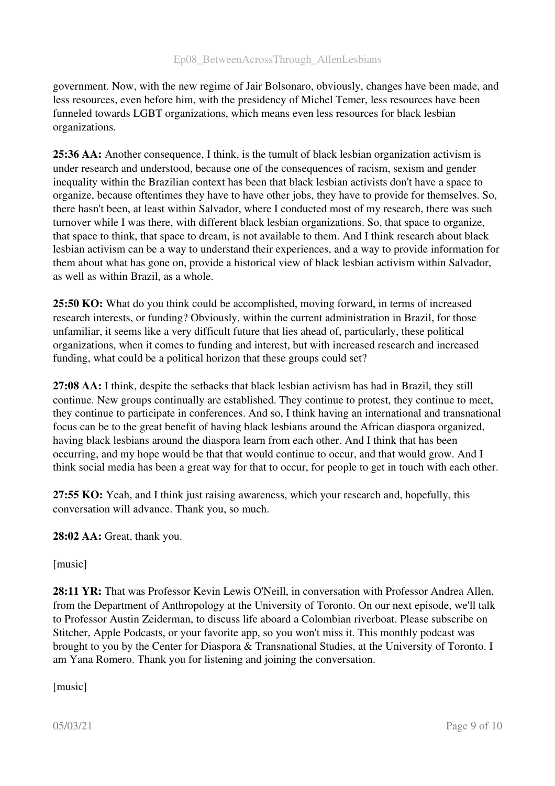government. Now, with the new regime of Jair Bolsonaro, obviously, changes have been made, and less resources, even before him, with the presidency of Michel Temer, less resources have been funneled towards LGBT organizations, which means even less resources for black lesbian organizations.

25:36 AA: Another consequence, I think, is the tumult of black lesbian organization activism is under research and understood, because one of the consequences of racism, sexism and gender inequality within the Brazilian context has been that black lesbian activists don't have a space to organize, because oftentimes they have to have other jobs, they have to provide for themselves. So, there hasn't been, at least within Salvador, where I conducted most of my research, there was such turnover while I was there, with different black lesbian organizations. So, that space to organize, that space to think, that space to dream, is not available to them. And I think research about black lesbian activism can be a way to understand their experiences, and a way to provide information for them about what has gone on, provide a historical view of black lesbian activism within Salvador, as well as within Brazil, as a whole.

25:50 KO: What do you think could be accomplished, moving forward, in terms of increased research interests, or funding? Obviously, within the current administration in Brazil, for those unfamiliar, it seems like a very difficult future that lies ahead of, particularly, these political organizations, when it comes to funding and interest, but with increased research and increased funding, what could be a political horizon that these groups could set?

27:08 AA: I think, despite the setbacks that black lesbian activism has had in Brazil, they still continue. New groups continually are established. They continue to protest, they continue to meet, they continue to participate in conferences. And so, I think having an international and transnational focus can be to the great benefit of having black lesbians around the African diaspora organized, having black lesbians around the diaspora learn from each other. And I think that has been occurring, and my hope would be that that would continue to occur, and that would grow. And I think social media has been a great way for that to occur, for people to get in touch with each other.

27:55 KO: Yeah, and I think just raising awareness, which your research and, hopefully, this conversation will advance. Thank you, so much.

28:02 AA: Great, thank you.

[music]

28:11 YR: That was Professor Kevin Lewis O'Neill, in conversation with Professor Andrea Allen, from the Department of Anthropology at the University of Toronto. On our next episode, we'll talk to Professor Austin Zeiderman, to discuss life aboard a Colombian riverboat. Please subscribe on Stitcher, Apple Podcasts, or your favorite app, so you won't miss it. This monthly podcast was brought to you by the Center for Diaspora & Transnational Studies, at the University of Toronto. I am Yana Romero. Thank you for listening and joining the conversation.

[music]